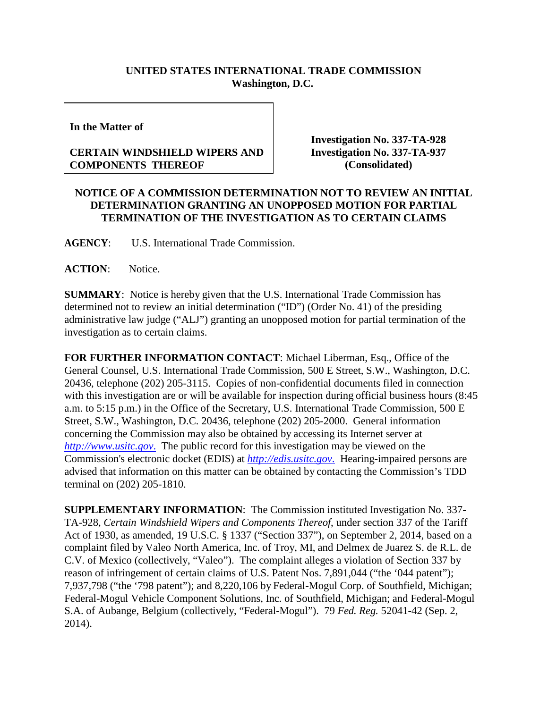## **UNITED STATES INTERNATIONAL TRADE COMMISSION Washington, D.C.**

**In the Matter of**

## **CERTAIN WINDSHIELD WIPERS AND COMPONENTS THEREOF**

**Investigation No. 337-TA-928 Investigation No. 337-TA-937 (Consolidated)**

## **NOTICE OF A COMMISSION DETERMINATION NOT TO REVIEW AN INITIAL DETERMINATION GRANTING AN UNOPPOSED MOTION FOR PARTIAL TERMINATION OF THE INVESTIGATION AS TO CERTAIN CLAIMS**

**AGENCY**: U.S. International Trade Commission.

**ACTION**: Notice.

**SUMMARY**: Notice is hereby given that the U.S. International Trade Commission has determined not to review an initial determination ("ID") (Order No. 41) of the presiding administrative law judge ("ALJ") granting an unopposed motion for partial termination of the investigation as to certain claims.

**FOR FURTHER INFORMATION CONTACT**: Michael Liberman, Esq., Office of the General Counsel, U.S. International Trade Commission, 500 E Street, S.W., Washington, D.C. 20436, telephone (202) 205-3115. Copies of non-confidential documents filed in connection with this investigation are or will be available for inspection during official business hours (8:45 a.m. to 5:15 p.m.) in the Office of the Secretary, U.S. International Trade Commission, 500 E Street, S.W., Washington, D.C. 20436, telephone (202) 205-2000. General information concerning the Commission may also be obtained by accessing its Internet server at *[http://www.usitc.gov](http://www.usitc.gov./)*. The public record for this investigation may be viewed on the Commission's electronic docket (EDIS) at *[http://edis.usitc.gov](http://edis.usitc.gov./)*. Hearing-impaired persons are advised that information on this matter can be obtained by contacting the Commission's TDD terminal on (202) 205-1810.

**SUPPLEMENTARY INFORMATION**: The Commission instituted Investigation No. 337- TA-928, *Certain Windshield Wipers and Components Thereof*, under section 337 of the Tariff Act of 1930, as amended, 19 U.S.C. § 1337 ("Section 337"), on September 2, 2014, based on a complaint filed by Valeo North America, Inc. of Troy, MI, and Delmex de Juarez S. de R.L. de C.V. of Mexico (collectively, "Valeo"). The complaint alleges a violation of Section 337 by reason of infringement of certain claims of U.S. Patent Nos. 7,891,044 ("the '044 patent"); 7,937,798 ("the '798 patent"); and 8,220,106 by Federal-Mogul Corp. of Southfield, Michigan; Federal-Mogul Vehicle Component Solutions, Inc. of Southfield, Michigan; and Federal-Mogul S.A. of Aubange, Belgium (collectively, "Federal-Mogul"). 79 *Fed. Reg.* 52041-42 (Sep. 2, 2014).